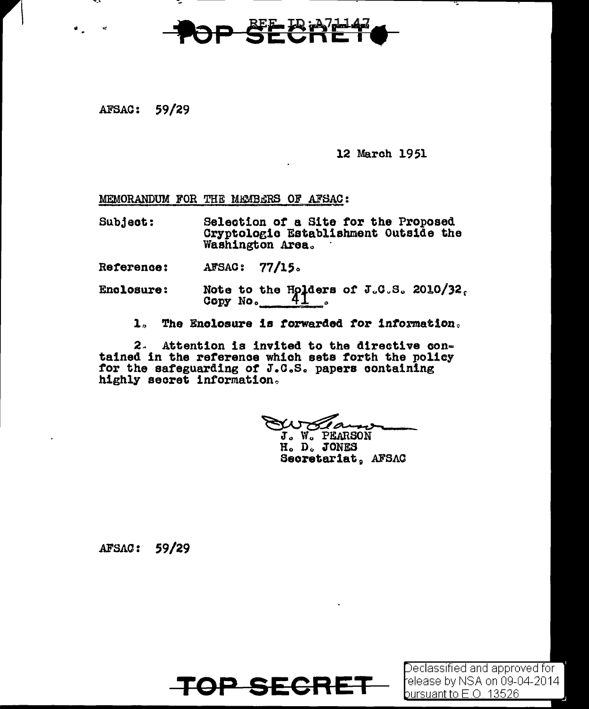AFSAC: 59/29

12 March 1951

MEMORANDUM FOR THE MEMBERS OF AFSAC:

Selection of a Site for the Proposed Subject: Cryptologic Establishment Outside the Washington Area.

 $77/15.$ AFSAC: Reference:

- Note to the Holders of J.C.S. 2010/32.<br>Copy No. 41 Enclosure:
	- The Enclosure is forwarded for information.  $\mathbf{1}$

Attention is invited to the directive con- $2.$ tained in the reference which sets forth the policy for the safeguarding of J.C.S. papers containing highly secret information.

J. W. PEARSON H. D. JONES

Secretariat, AFSAC

AFSAC: 59/29



Declassified and approved for l release by NSA on 09-04-2014 bursuant to E.O. 13526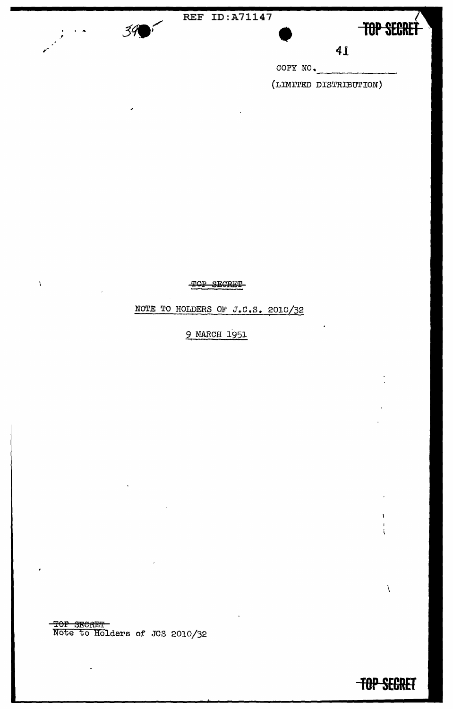

À



 $\label{eq:1}$ 

ł.

Å.

**fOP SECRET** 

**41**<br>COPY NO.<br>(LIMITED DISTRIBUTION)

TOP SECRET

NOTE TO HOLDERS OF  $J.C.S.$  2010/32

9 MARCH 1951

TOP 3ECRET Note to Holders of JCS 2010/32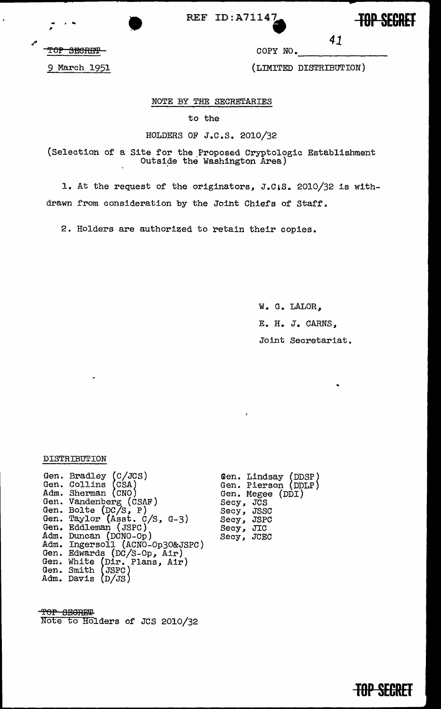REF ID:A71147<br>
REF ID:A71147<br>
ROP SECRET COPY NO. 41

**mp SECRET** 

TOP SECRET

COPY NO.

9 March 1951

(LIMITED DISTRIBUTION)

*41* 

#### NOTE BY THE SECRETARIES

to the

#### HOLDERS OF J.c.s. 2010/32

{Selection of a Site for the .Proposed Cryptologic Establishment Outside the Washington Area)

1. At the request of the originators, J.C.S. 2010/32 is withdrawn from consideration by the Joiht Chiefs of Staff.

2. Holders are authorized to retain their copies.

W. G. LALOR, E. H. J. CARNS, Joint Secretariat.

#### DISTRIBUTION

Gen. Gen. Adm. Gen. Gen. Gen. Gen. Eddleman (JSPC) Adm. Adm. Gen. Gen. Gen. Adm. Bradley (C/JCS)<br>Collins (CSA) Sherman (CNO) Vandenberg (CSAF) Bolte (DC/S, P) Taylor {Asst. c/s, G-3) Eddleman { JSPC ) Duncan (DCNO-Op)<br>Ingersoll (ACNO-Op30&JSPC)<br>Edwards (DC/S-Op, Air) White (Dir. Plans, Air)<br>Smith (JSPC) Davis  $(D/JS)$ 

Gen. Lindsay (DDSP) Gen. Pierson (DDLP) Gen. Megee (DDI)<br>Secy, JCS Secy, JSSC Secy, JSPC Secy, JIC Secy, JCEC

TOP SECRET Note to Holders of JCS 2010/32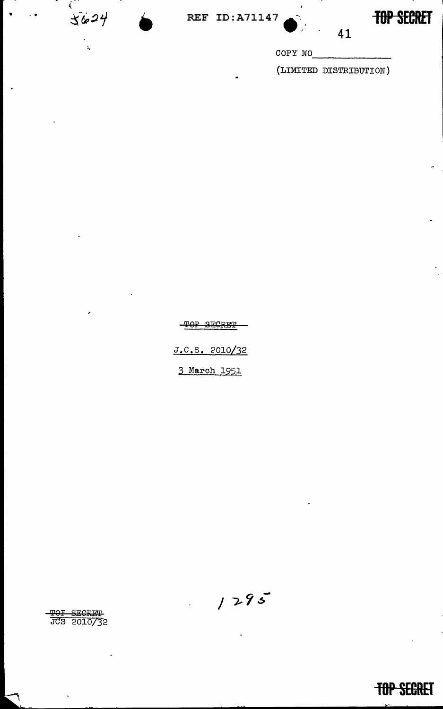$\mathcal{L}$  $3624$ 

 $\mathbf{t}_\mathrm{z}$ 

 $\frac{1}{2}$ .  $\frac{1}{2}$ 

**TOP SECRET** 

COPY NO<br>
(LIMITED DISTRIBUTION)

41

TOP SECRET J.c.s. 2010/32 3 March 1951

 $1295$ 

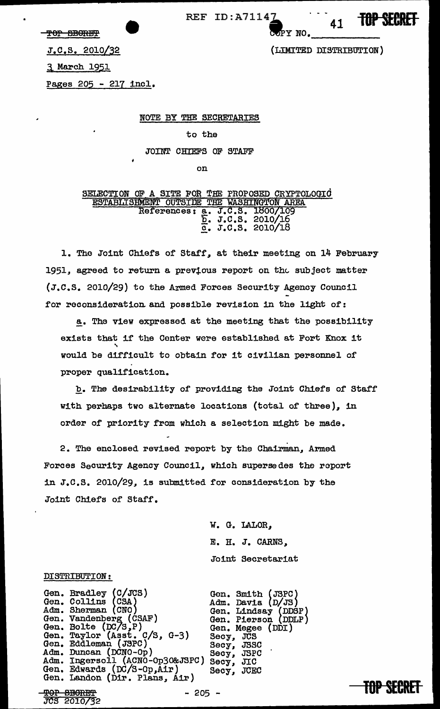TOP SEORET

REF ID: A71147

**7** 41 **TOP SECRET** 

(LIMITED DISTRIBUTION)

J.c.s. 2010/32

3 March 1951

Pages 205 - 217 incl.

NOTE BY THE SECRETARIES

to the

JOINT CHIEFS OF STAFF

on

SELECTION OF A SITE FOR THE PROPOSED CRYPTOLOGIC ESTABLISHMENT OUTSIDE THE WASHINGTON AREA References: a. J.C.S. 1800/109  $\overline{b}$ . J.C.S. 2010/16  $\frac{1}{2}$ . J.C.S. 2010/18

l. The Joint Chiefs of Staff, at their meeting on 14 February 1951, agreed to return a previous report on the subject matter (J.c.s. 2010/29) to the Armed Forces Security Agency Council for reconsideration and possible revision in the light of:

a. The view expressed at the meeting that the possibility exists that if the Center were established at Fort Knox it<br>would be difficult to obtain for it civilian personnel of proper qualification.

b. The desirability of providing the Joint Chiefs of Staff with perhaps two alternate locations (total of three), in order of priority from which a selection might be made.

2. The enclosed revised report by the Chairman, Armed Forces Security Agency Council, which supersedes the report in J.c.s. 2010/29, is submitted for consideration by the Joint Chiefs of Staff.

> W. G. LALOR, E. H. J. CARNS,, Joint Secretariat

#### DISTRIBUTION:

Gen. Gen. Adm. Gen. Gen. Gen. Gen. Adm. Adm. Gen. Gen. Landon (Dir. Plans, Air) Bradley (C/JCS)<br>Collins (CSA)<br>Sherman (CNO) Vandenberg (CSAF)<br>Bolte (DC/S,P)<br>Taylor (Asst. C/S, G-3)<br>Eddleman (JSPC) Duncan (DCNO-Op) Ingersoll (ACNO-Op30&JSPC) Secy, JSPC<br>Edwards (DC/S-Op,Air) Secy, JCEC<br>Landon (Dir. Plans, Air) 9?9P BEIGRE'f JCS 2010/32 - 205 - **TOP SECRET** 

Gen. Smith (JSPC) Adm. Davia (D/JS) Gen. Lindsay (DDSP) Gen. Pierson (DDLP) Gen. Megee (DDI)<br>Secy, JCS Secy, JCS<br>Secy, JSSC<br>Secy. JSPC Secy, JIC Secy, JCEC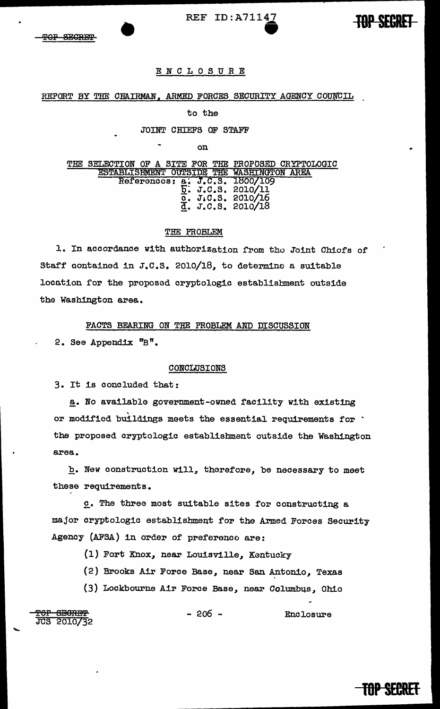

#### ENCLOSURE

#### REPORT BY THE CHAIRMAN, ARMED FORCES SECURITY AGENCY COUNCIL

#### to the

#### JOINT CHIEFS OF STAFF

on

THE SELECTION OF A SITE FOR THE PROPOSED CRYPTOLOGIC ESTABLISHMENT OUTSIDE THE WASHINGTON AREA References: a. J.C.S. 1800/109 References: a: J.C.S. 1800/109<br>E. J.C.S. 2010/11 0. 2010/16  $\bar{d}$ . J.C.S. 2010/18

#### THE PROBLEM

1. In accordance with authorization from the Joint Chiefs of Staff contained in J.c.s. 2010/18, to determine a suitable location for the proposed cryptologic establishment outside the Washington area.

FACTS BEARING ON THE PROBLEM AND DISCUSSION

2. See Appendix ''B".

#### CONCLUSIONS

3. It is concluded that:

a. No available government-owned facility with existing or modified buildings meets the essential requirements for ' the proposed cryptologic establishment outside the Washington area.

b. New construction will, therefore, be necessary to meet these requirements.

£• The three most suitable sites for constructing a major cryptologic establishment for the Armed Forces Security Agency (AFSA) in order of preference are:

- (1) Fort Knox, near Louisville, Kentucky
- (2) Brooks Air Force Base, near San Antonio, Texas
- (3) Lockbourne Air Force Base, near Columbus, Ohio

<del>TOP SECRET</del><br>JCS 2010/32

<del>TOP SECRET</del><br>JCS 2010/32 - 206 - Enclosure

# **mp** BRET

**JOPSEGRET**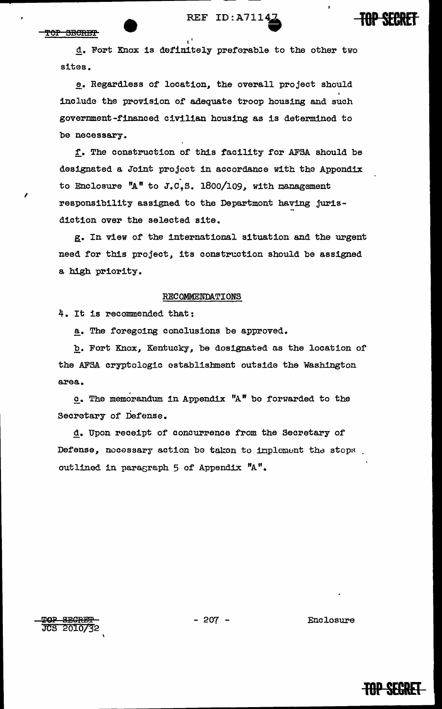### REF ID:A7114



d. Fort Knox is definitely preferable to the other two sites.

e. Regardless of location, the overall project should include the provision of adequate troop housing and such government-financed civilian housing as is determined to be necessary.

f. The construction of this facility for AFSA should be designated a Joint project in accordance with the Appendix to Enclosure "A" to J.C.S. 1800/109, with management responsibility assigned to the Departmont having jurisdiction over the selected site.

g. In view of the international situation and the urgent need for this project, its construction should be assigned a high priority.

#### RECOMMENDATIONS

4. It is recommended that:

a. The foregoing conclusions be approved.

b. Fort Knox, Kentucky, be dosignated as the location of the AFSA cryptologic establishment outside the Washington area.

 $c$ . The memorandum in Appendix "A" be forwarded to the Secretary of Defense.

d. Upon receipt of concurrence from the Secretary of Defense, necessary action be taken to implement the steps. outlined in paragraph 5 of Appendix "A".

**SECRET** 교요 **JCS 2010/32** 

 $-207 -$ 

Enclosure

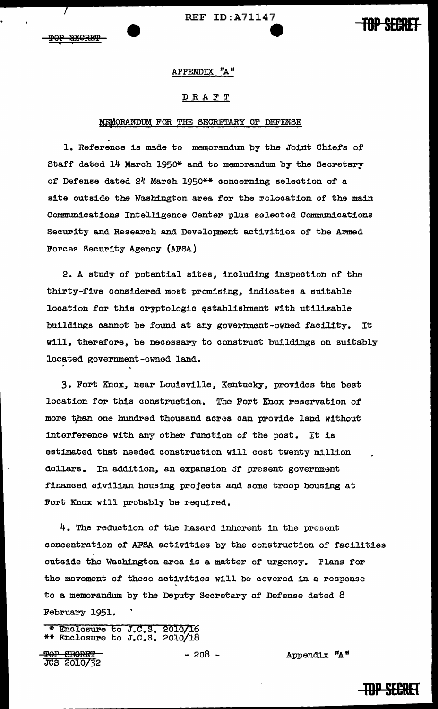REF ID:A71147

#### APPENDIX "A"

#### DRAFT

#### MEMORANDUM FOR THE SECRETARY OF DEFENSE

1. Reference is made to memorandum. by the Joint Chiefs of Staff dated 14 March 1950\* and to memorandum by the Secretary of Defense dated 24 March 1950\*\* concerning selection of a site outside the Washington area for the relocation of the main Communications Intelligence Center plus selected Communications Security and Research and Development activities of the Armed Forces Security Agency (AFSA)

2. A study of potential sites, including inspection of the thirty-five considered most promising, indicates a suitable location for this cryptologic ęstablishment with utilizable buildings cannot be found at any government-owned facility. It will, therefore, be necessary to construct buildings on suitably located government-owned land.

3. Fort Knox, near Louisville, Kentucky, provides the best location for this construction. The Fort Knox reservation of more than one hundred thousand acres can provide land without interference with any other function of the post. It is estimated that needed construction will cost twenty million dollars. In addition, an expansion of present government financed civilian housing projects and some troop housing at Fort Knox will probably be required.

4. The reduction of the hazard inhorent in the present concentration of AFSA activities by the construction of facilities outside the Washington area is a matter of urgency. Plans for the movement of these activities will be covered in a response to a memorandum by the Deputy Secretary of Defense dated 8 February 1951.

\* Enclosure to J.C.S. 2010/16 \*\* Enclosure to J.C.S. 2010/18

**THE SEPTER**<br>THE 2010/32 <del>TOP SECRET -</del> 208 - 208 - Appendix "A"<br>JCS 2010/32

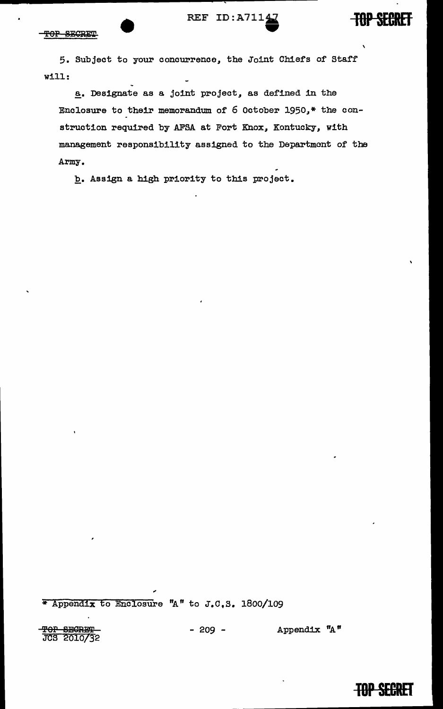# REF  $ID: A7114$

**FOP SECRET** 

\

5. Subject to your concurrence, the Joint Chiefs of Starf will:

a. Designate as a joint project, as defined in the Enclosure to their memorandum of 6 October 1950,\* the construction required by AFSA at Fort Knox, Kontucky, with management responsibility assigned to the Department of the Army.

b. Assign a high priority to this project.

\* Appendix to Enclosure "A" to J.C.S. 1800/109

T<del>OP SECRET -</del> 209 - Appendix "A"<br>JCS 2010/32

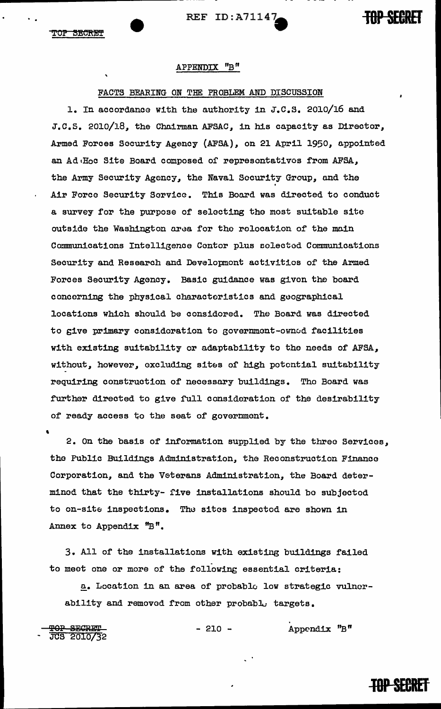REF ID:A71147- **TOP SECRET** 

. .

## APPENDIX "B"

#### FACTS BEARING ON THE PROBLEM AND DISCUSSION

1. In accordance with the authority in J.c.s. 2010/16 and J.C.S. 2010/18, the Chairman AFSAC, in his capacity as Director, Armed Forces Security Agency (AFSA), on 21 April 1950, appointed an Ad<sub>'Ho</sub>c Site Board composed of representatives from AFSA, the Army Security Agency, the Naval Security Group, and the .<br>Air Force Security Service. This Board was directed to conduct a survey for the purpose of selecting tho most suitable site outside the Washington area for the relocation of the main Communications Intelligence Center plus selected Communications Security and Research and Development activities of the Armed Forces Security Agency. Basic guidance was given the board concerning the physical characteristics and goographical locations which should be considered. The Board was directed to give primary consideration to government-ownud facilities with existing suitability or adaptability to the needs of AFSA, without, however, excluding sites of high potential suitability requiring construction of necessary buildings. Tho Board was further directed to give full consideration of the desirability of ready access to the seat of government.

' 2. On the basis of information supplied by the three Services, the Public Buildings Administration, the Reconstruction Finance Corporation, and the Veterans Administration, the Board determined that the thirty- five installations should bo subjected to on-site inspections. The sites inspected are shown in Annex to Appendix "B ".

3. All of the installations with existing buildings failed to meet one or more of the following essential criteria:

 $a_•$  Location in an area of probable low strategic vulnerability and removed from other probabl. targets.

**TOP SECRET**<br>JCS 2010/32

 $- 210 -$  Appendix "B"

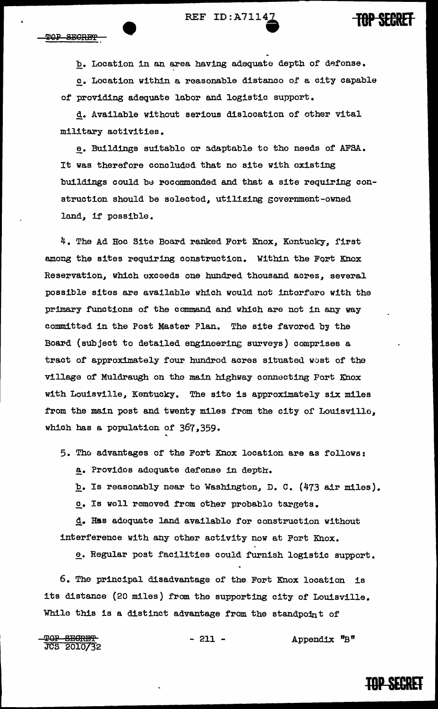REF ID: A7114<sup>2</sup> **IBP SEGRET** 

b. Location in an area having adequate depth of defonse. £• Location within a reasonable distance 0£ a city capable or providing adequate labor and logistic support.

d. Available without serious dislocation or other vital military activities.

e. Buildings suitable or adaptable to the needs of AFSA. It was therefore concluded that no site with existing buildings could be recommonded and that a site requiring construction should be selected, utilizing government-owned land, if possible.

4. The Ad Hoc Site Board ranked Fort Knox, Kentucky, first among the sites requiring construction. Within the Fort Knox Reservation, which oxceeds one hundred thousand acres, several possible sites are available which would not intorfero with the primary functions of the command and which are not in any way committed in the Post Master Plan. The site favored by the Board (subject to detailed engineering surveys) comprises a tract of approximately four hundrod acres situated west of the village of Muldraugh on the main highway connecting Fort Knox with Louisville, Kentucky. The site is approximately six miles from the main post and twenty miles from the city of Louisvillo, which has a population of 367,359.

5. The advantages of the Fort Knox location are as follows:

a. Provides adequate defense in depth.

b. Is reasonably near to Washington, D. C. (473 air miles).

£• Is woll removed from other probable targets.

d. Has adequate land availablo for construction without interference with any other activity now at Fort Knox.

e. Regular post facilities could furnish logistic support.

6. The principal disadvantage of the Fort Knox location is its distance (20 miles) from the supporting city of Louisville. While this is a distinct advantage from the standpoint of

**TOP SEGRET**<br>JCS 2010/32  $-211$  - Appendix "B"

# **TOP SECRET**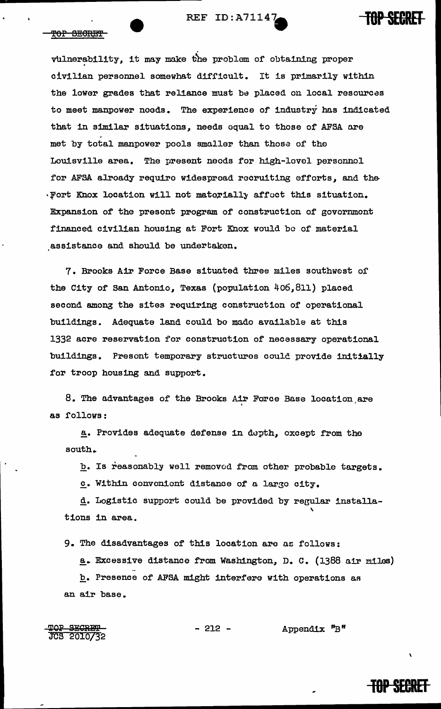

#### TOP SECRET

vulnerability, it may make the problem of obtaining proper civilian personnel somewhat difficult. It is primarily within the lower grades that reliance must be placed on local resources to meet manpower needs. The experience of industry has indicated that in similar situations, needs equal to those of AFSA are met by total manpower pools smaller than thosa of the Louisville area. The present needs for high-level personnel for AFSA alroady require widespread recruiting efforts, and the  $\cdot$  Fort Knox location will not materially affect this situation. Expansion of the presont program of construction of government financed civilian housing at Fort Knox would be of material assistance and should be undertaken.

7. Brooks Air Force Base situated three miles southwest or the City of San Antonio, Texas (population 406,811) placed second among the sites requiring construction of operational buildings. Adequate land could be made available at this 1332 acre reservation for construction of necessary operational buildings. Presont temporary structures could provide initially for troop housing and support.

8. The advantages of the Brooks Air Force Base location are as follows:

a. Provides adequate defense in depth, except from the south.

b. Is reasonably well removed from other probable targets.

c. Within convenient distance of a large city.

d. Logistic support could be provided by regular installa tions in area.

9. The disadvantages of this location are as follows:

a. Excessive distance from Washington, D. C. (1388 air miles) b. Presence of AFSA might interfere with operations *aR*  an air base.

TOP SECRET<br>JCS 2010/32

 $-212$  - Appendix "B"

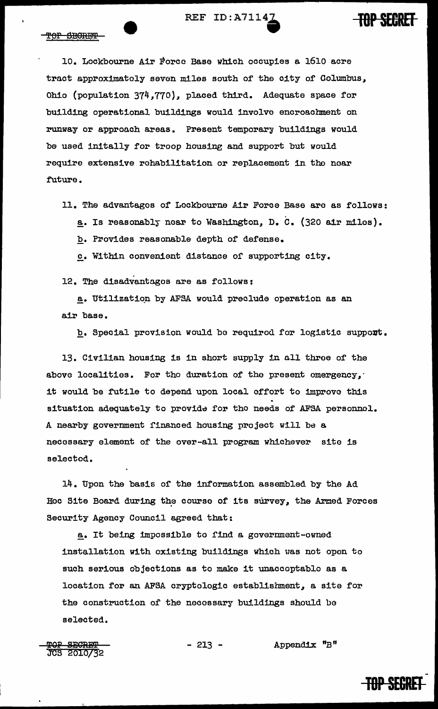

10. Lockbourne Air Force Base which occupies a 1610 acre tract approximately seven miles south of the city of Columbus, Ohio (population 374,770), placed third. Adequate space for building operational buildings would involve encroachment on runway or approach areas. Present temporary buildings would be used initally for troop housing and support but would require extensive rehabilitation or replacement in the noar future.

11. The advantages of Lockbourne Air Force Base are as follows:

a. Is reasonably near to Washington, D. C. (320 air miles).

b. Provides reasonable depth of defense.

£• Within convenient distance of supporting city.

12. The disadvantages are as follows:

a. Utilization by AFSA would preclude operation as an a.ir base.

b. Special provision would be required for logistic support.

13. Civilian housing is in short supply in all throe of the above localities. For the duration of the present emergency, it would be futile to depend upon local effort to improve this situation adequately to provide for the needs of AFSA personnel. A nearby government financed housing project will be a necessary element of the over-all program whichever site is selected.

14. Upon the basis of' the information assembled by the Ad Hoc Site Board during the course of its survey, the Armed Forces Security Agency Council agreed that:

a. It being impossible to find a government-owned installation with existing buildings which was not open to such serious objections as to make it unaccoptable as a location for an AFSA cryptologic establishment, a site for the construction or the necessary buildings should be selected.

<del>TOP SECRET<br>JCS 2010/3</del>2

 $-213$  - Appendix "B"

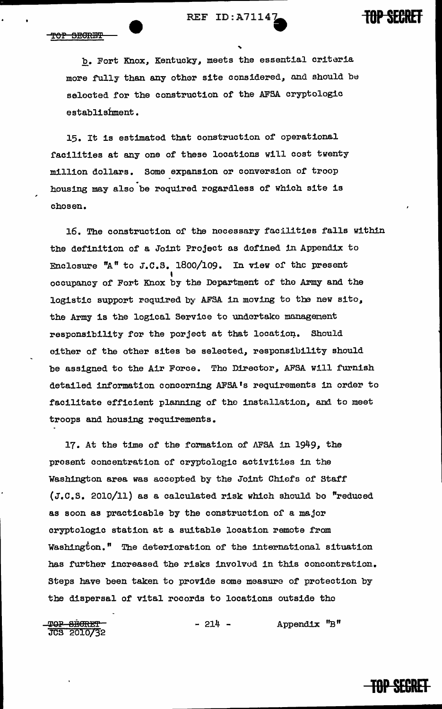b. Fort Knox, Kentucky, meets the essential criteria more fully than any other site considered, and should be selected for the construction of the AFSA cryptologic establishment.

15. It is estimated that construction of operational facilities at any one of these locations will cost twenty million dollars. Some expansion or conversion of troop . housing may also be required regardless of which site is chosen.

16. The construction or the necessary facilities falls within the definition of a Joint Project as defined in Appendix to Enclosure "A" to J.C.S. 1800/109. In view of the present occupancy of Fort Knox by the Department of the Army and the logistic support required by AFSA in moving to the new sito, the Army is the logical Service to undertake managenent responsibility for the porject at that location. Should either of the other sites be selected, responsibility should be assigned to the Air Force. The Director, AFSA will furnish detailed information concerning AFSA's requirements in order to facilitate efficient planning of the installation, and to meet troops and housing requirements.

17. At the time of the formation of AFSA in 1949, the present concentration of cryptologic activities in the Washington area was accepted by the Joint Chiefs of Staff (J.c.s. 2010/11) as a calculated risk which should bo "reduced as soon as practicable by the construction or a major cryptologic station at a suitable location remote from Washington." The deterioration of the international situation has fUrther increased the risks involvod in this concontration. Steps have been taken to provide some measure of protection by the dispersal of vital records to locations outside the

<del>TOP BECRET<br>JCS 2010/3</del>2 - 214 - Appendix "B"



**TOP SECRET**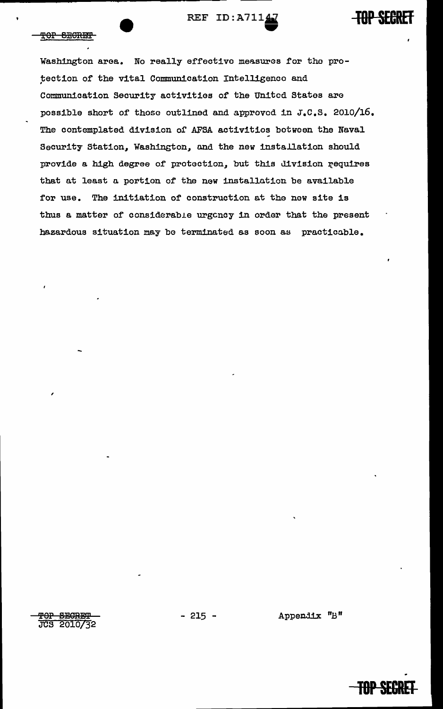REF ID: A71147



Washington area. No really effective measures for the protection of the vital Communication Intelligence and Communication Security activities of the United States are possible short of those outlined and approved in J.C.S. 2010/16. The contemplated division of AFSA activities between the Naval Security Station, Washington, and the new installation should provide a high degree of protection, but this division requires that at least a portion of the new installation be available for use. The initiation of construction at the new site is thus a matter of considerable urgency in order that the present hazardous situation may be terminated as soon as practicable.

TOP SECRET JCS 2010/32  $-215 -$ 

Appendix "B"



**TOP SECRET**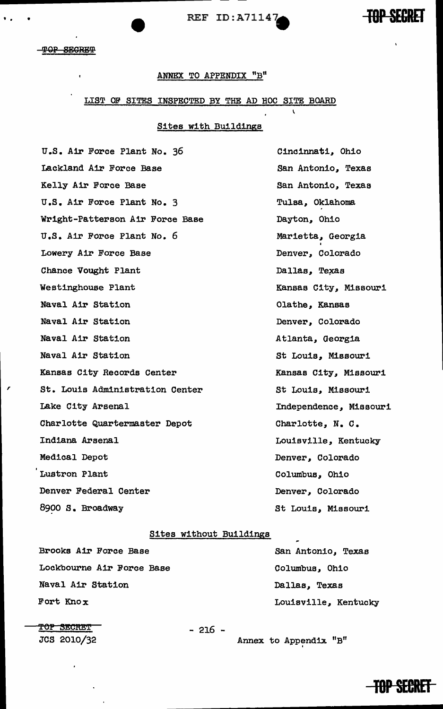REF ID:A71147



#### **TOP SECRET**

• • •

,

#### ANNEX TO APPENDIX "B"

#### LIST OP SITES INSPECTED BY THE AD HOC SITE BOARD

### Sites with Buildings

u.s. Air Force Plant No. 36 Lackland Air Force Base Kelly Air Force Base u.s. Air Force Plant No. 3 Wright-Patterson Air Force Base u.s. Air Force Plant No. 6 Lowery Air Force Base Chance Vought Plant Westinghouse Plant Naval Air Station Naval Air Station Naval Air Station Naval Air Station Kansas City Records Center St. Louis Administration Center Lake City Arsenal Charlotte Quartermaster Depot Indiana Arsenal Medical Depot Lustron Plant Denver Federal Center 8900 s. Broadway

Cincinnati, Ohio San Antonio, Texas San Antonio, Texas Tulsa, Oklahoma Dayton, Ohio Marietta, Georgia Denver, Colorado Dallas, Texas Kansas City, Missouri Olathe, Kansas Denver, Colorado Atlanta, Georgia St Louis, Missouri Kansas City, Missouri St Louis, Missouri Independence, Missouri Charlotte, N. c. Louisville, Kentucky Denver, Colorado Columbus, Ohio Denver, Colorado St Louis, Missouri

#### Sites without Buildings

Brooks Air Force Base Lockbourne Air Force Base Naval Air Station Fort Knox

San Antonio, Texas Columbus, Ohio Dallas, Texas Louisville, Kentucky

**TOP SECRET** 

- 216 -

JCS 2010/32 Annex to Appendix "B"